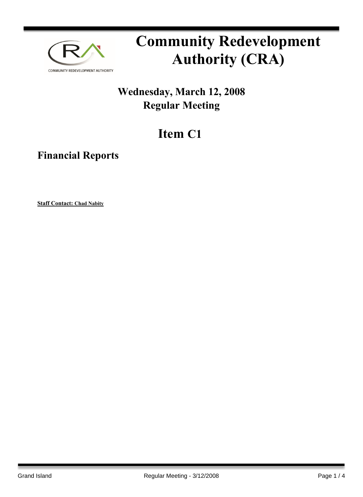

# **Community Redevelopment Authority (CRA)**

### **Wednesday, March 12, 2008 Regular Meeting**

## **Item C1**

**Financial Reports**

**Staff Contact: Chad Nabity**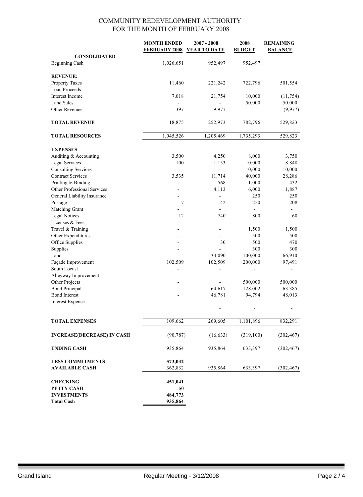#### COMMUNITY REDEVELOPMENT AUTHORITY FOR THE MONTH OF FEBRUARY 2008

|                                   | <b>MONTH ENDED</b>   | $2007 - 2008$                | 2008                         | <b>REMAINING</b> |
|-----------------------------------|----------------------|------------------------------|------------------------------|------------------|
|                                   | <b>FEBRUARY 2008</b> | YEAR TO DATE                 | <b>BUDGET</b>                | <b>BALANCE</b>   |
| <b>CONSOLIDATED</b>               |                      |                              |                              |                  |
| <b>Beginning Cash</b>             | 1,026,651            | 952,497                      | 952,497                      |                  |
| <b>REVENUE:</b>                   |                      |                              |                              |                  |
| Property Taxes                    | 11,460               | 221,242                      | 722,796                      | 501,554          |
| Loan Proceeds                     |                      |                              | ٠                            |                  |
| Interest Income                   | 7,018                | 21,754                       | 10,000                       | (11, 754)        |
| <b>Land Sales</b>                 | $\overline{a}$       |                              | 50,000                       | 50,000           |
| Other Revenue                     | 397                  | 9,977                        |                              | (9, 977)         |
|                                   |                      |                              |                              |                  |
| <b>TOTAL REVENUE</b>              | 18,875               | 252,973                      | 782,796                      | 529,823          |
| <b>TOTAL RESOURCES</b>            | 1,045,526            | 1,205,469                    | 1,735,293                    | 529,823          |
| <b>EXPENSES</b>                   |                      |                              |                              |                  |
| Auditing & Accounting             | 3,500                | 4,250                        | 8,000                        | 3,750            |
| <b>Legal Services</b>             | 100                  | 1,153                        | 10,000                       | 8,848            |
| <b>Consulting Services</b>        | $\frac{1}{2}$        | $\blacksquare$               | 10,000                       | 10,000           |
| <b>Contract Services</b>          | 3,535                | 11,714                       | 40,000                       | 28,286           |
| Printing & Binding                |                      | 568                          | 1,000                        | 432              |
| Other Professional Services       |                      | 4,113                        | 6,000                        | 1,887            |
| General Liability Insurance       |                      |                              | 250                          | 250              |
| Postage                           | 7                    | 42                           | 250                          | 208              |
| Matching Grant                    |                      |                              | $\blacksquare$               | $\blacksquare$   |
| <b>Legal Notices</b>              | 12                   | 740                          | 800                          | 60               |
| Licenses & Fees                   |                      | $\blacksquare$               |                              |                  |
| Travel & Training                 |                      | $\blacksquare$               | 1,500                        | 1,500            |
| Other Expenditures                |                      |                              | 500                          | 500              |
| Office Supplies                   |                      | 30                           | 500                          | 470              |
| Supplies                          |                      |                              | 300                          | 300              |
| Land                              |                      | 33,090                       | 100,000                      | 66,910           |
| Façade Improvement                | 102,509              | 102,509                      | 200,000                      | 97,491           |
| South Locust                      |                      | $\overline{\phantom{a}}$     | $\qquad \qquad \blacksquare$ |                  |
| Alleyway Improvement              |                      | $\qquad \qquad \blacksquare$ |                              |                  |
| Other Projects                    |                      | $\blacksquare$               | 500,000                      | 500,000          |
| <b>Bond Principal</b>             |                      | 64,617                       | 128,002                      | 63,385           |
| <b>Bond Interest</b>              |                      | 46,781                       | 94,794                       | 48,013           |
| <b>Interest Expense</b>           |                      | $\overline{\phantom{a}}$     | $\qquad \qquad \blacksquare$ | $\blacksquare$   |
|                                   |                      | $\overline{\phantom{a}}$     | -                            |                  |
| <b>TOTAL EXPENSES</b>             | 109,662              | 269,605                      | 1,101,896                    | 832,291          |
|                                   |                      |                              |                              |                  |
| <b>INCREASE(DECREASE) IN CASH</b> | (90, 787)            | (16, 633)                    | (319, 100)                   | (302, 467)       |
| <b>ENDING CASH</b>                | 935,864              | 935,864                      | 633,397                      | (302, 467)       |
| <b>LESS COMMITMENTS</b>           | 573,032              |                              |                              |                  |
| <b>AVAILABLE CASH</b>             | 362,832              | 935,864                      | 633,397                      | (302, 467)       |
| <b>CHECKING</b>                   | 451,041              |                              |                              |                  |
| PETTY CASH                        | 50                   |                              |                              |                  |
| <b>INVESTMENTS</b>                | 484,773              |                              |                              |                  |
| <b>Total Cash</b>                 | 935,864              |                              |                              |                  |
|                                   |                      |                              |                              |                  |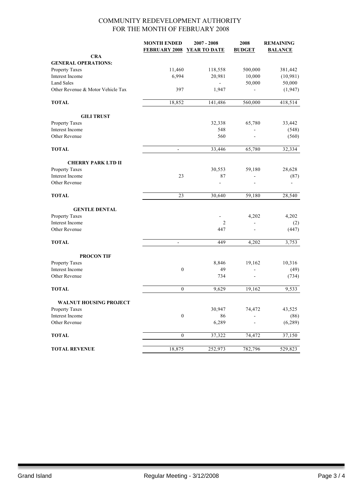#### COMMUNITY REDEVELOPMENT AUTHORITY FOR THE MONTH OF FEBRUARY 2008

|                                   | <b>MONTH ENDED</b><br><b>FEBRUARY 2008</b> | $2007 - 2008$<br>YEAR TO DATE | 2008<br><b>BUDGET</b>    | <b>REMAINING</b><br><b>BALANCE</b> |
|-----------------------------------|--------------------------------------------|-------------------------------|--------------------------|------------------------------------|
| <b>CRA</b>                        |                                            |                               |                          |                                    |
| <b>GENERAL OPERATIONS:</b>        |                                            |                               |                          |                                    |
| Property Taxes                    | 11,460                                     | 118,558                       | 500,000                  | 381,442                            |
| Interest Income                   | 6,994                                      | 20,981                        | 10,000                   | (10, 981)                          |
| <b>Land Sales</b>                 |                                            | $\blacksquare$                | 50,000                   | 50,000                             |
| Other Revenue & Motor Vehicle Tax | 397                                        | 1,947                         |                          | (1, 947)                           |
| <b>TOTAL</b>                      | 18,852                                     | 141,486                       | 560,000                  | 418,514                            |
| <b>GILI TRUST</b>                 |                                            |                               |                          |                                    |
| Property Taxes                    |                                            | 32,338                        | 65,780                   | 33,442                             |
| Interest Income                   |                                            | 548                           |                          | (548)                              |
| Other Revenue                     |                                            | 560                           |                          | (560)                              |
| <b>TOTAL</b>                      | $\blacksquare$                             | 33,446                        | 65,780                   | 32,334                             |
| <b>CHERRY PARK LTD II</b>         |                                            |                               |                          |                                    |
| <b>Property Taxes</b>             |                                            | 30,553                        | 59,180                   | 28,628                             |
| Interest Income                   | 23                                         | 87                            | $\overline{\phantom{0}}$ | (87)                               |
| Other Revenue                     |                                            | $\frac{1}{2}$                 |                          |                                    |
| <b>TOTAL</b>                      | 23                                         | 30,640                        | 59,180                   | 28,540                             |
| <b>GENTLE DENTAL</b>              |                                            |                               |                          |                                    |
| Property Taxes                    |                                            |                               | 4,202                    | 4,202                              |
| <b>Interest Income</b>            |                                            | $\overline{c}$                | L,                       | (2)                                |
| Other Revenue                     |                                            | 447                           | L,                       | (447)                              |
| <b>TOTAL</b>                      | $\blacksquare$                             | 449                           | 4,202                    | 3,753                              |
| <b>PROCON TIF</b>                 |                                            |                               |                          |                                    |
| Property Taxes                    |                                            | 8,846                         | 19,162                   | 10,316                             |
| Interest Income                   | $\boldsymbol{0}$                           | 49                            |                          | (49)                               |
| Other Revenue                     |                                            | 734                           |                          | (734)                              |
| <b>TOTAL</b>                      | $\boldsymbol{0}$                           | 9,629                         | 19,162                   | 9,533                              |
| <b>WALNUT HOUSING PROJECT</b>     |                                            |                               |                          |                                    |
| <b>Property Taxes</b>             |                                            | 30,947                        | 74,472                   | 43,525                             |
| Interest Income                   | $\boldsymbol{0}$                           | 86                            |                          | (86)                               |
| Other Revenue                     |                                            | 6,289                         |                          | (6, 289)                           |
| <b>TOTAL</b>                      | $\boldsymbol{0}$                           | 37,322                        | 74,472                   | 37,150                             |
| <b>TOTAL REVENUE</b>              | 18,875                                     | 252,973                       | 782,796                  | 529,823                            |